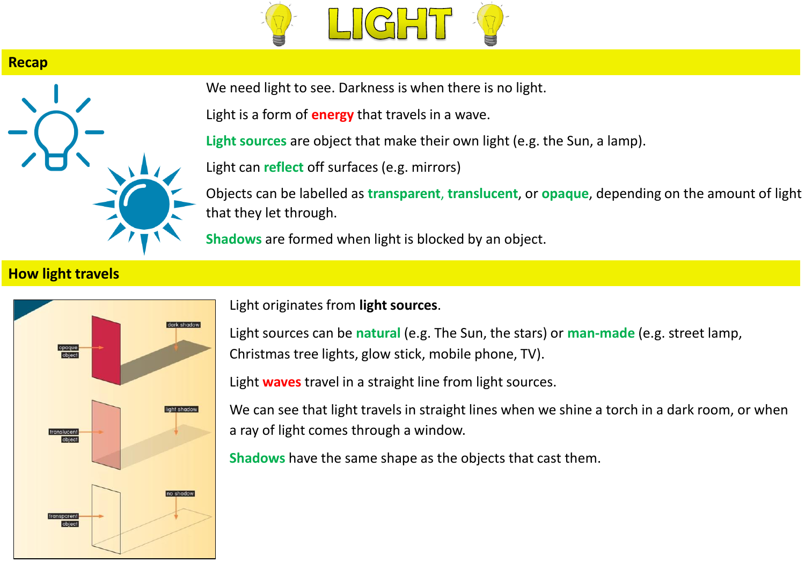

## **Recap**



We need light to see. Darkness is when there is no light.

Light is a form of **energy** that travels in a wave.

**Light sources** are object that make their own light (e.g. the Sun, a lamp).

Light can **reflect** off surfaces (e.g. mirrors)

Objects can be labelled as **transparent**, **translucent**, or **opaque**, depending on the amount of light that they let through.

**Shadows** are formed when light is blocked by an object.

## **How light travels**



Light originates from **light sources**.

Light sources can be **natural** (e.g. The Sun, the stars) or **man-made** (e.g. street lamp, Christmas tree lights, glow stick, mobile phone, TV).

Light **waves** travel in a straight line from light sources.

We can see that light travels in straight lines when we shine a torch in a dark room, or when a ray of light comes through a window.

**Shadows** have the same shape as the objects that cast them.